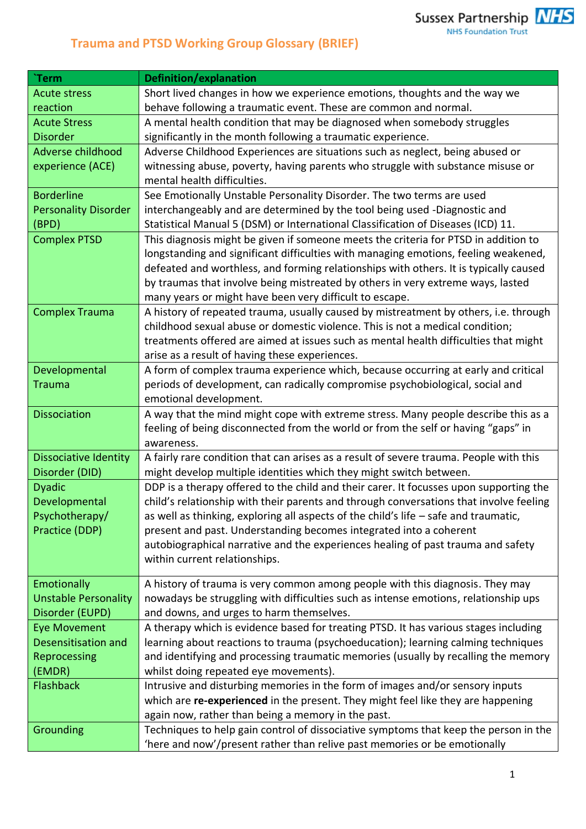## **Trauma and PTSD Working Group Glossary (BRIEF)**

| `Term                                      | <b>Definition/explanation</b>                                                                           |
|--------------------------------------------|---------------------------------------------------------------------------------------------------------|
| <b>Acute stress</b>                        | Short lived changes in how we experience emotions, thoughts and the way we                              |
| reaction                                   | behave following a traumatic event. These are common and normal.                                        |
| <b>Acute Stress</b>                        | A mental health condition that may be diagnosed when somebody struggles                                 |
| <b>Disorder</b>                            | significantly in the month following a traumatic experience.                                            |
| Adverse childhood                          | Adverse Childhood Experiences are situations such as neglect, being abused or                           |
| experience (ACE)                           | witnessing abuse, poverty, having parents who struggle with substance misuse or                         |
|                                            | mental health difficulties.                                                                             |
| <b>Borderline</b>                          | See Emotionally Unstable Personality Disorder. The two terms are used                                   |
| <b>Personality Disorder</b>                | interchangeably and are determined by the tool being used -Diagnostic and                               |
| (BPD)                                      | Statistical Manual 5 (DSM) or International Classification of Diseases (ICD) 11.                        |
| <b>Complex PTSD</b>                        | This diagnosis might be given if someone meets the criteria for PTSD in addition to                     |
|                                            | longstanding and significant difficulties with managing emotions, feeling weakened,                     |
|                                            | defeated and worthless, and forming relationships with others. It is typically caused                   |
|                                            | by traumas that involve being mistreated by others in very extreme ways, lasted                         |
|                                            | many years or might have been very difficult to escape.                                                 |
| <b>Complex Trauma</b>                      | A history of repeated trauma, usually caused by mistreatment by others, i.e. through                    |
|                                            | childhood sexual abuse or domestic violence. This is not a medical condition;                           |
|                                            | treatments offered are aimed at issues such as mental health difficulties that might                    |
|                                            | arise as a result of having these experiences.                                                          |
| Developmental                              | A form of complex trauma experience which, because occurring at early and critical                      |
| <b>Trauma</b>                              | periods of development, can radically compromise psychobiological, social and<br>emotional development. |
| <b>Dissociation</b>                        | A way that the mind might cope with extreme stress. Many people describe this as a                      |
|                                            | feeling of being disconnected from the world or from the self or having "gaps" in                       |
|                                            | awareness.                                                                                              |
| <b>Dissociative Identity</b>               | A fairly rare condition that can arises as a result of severe trauma. People with this                  |
| Disorder (DID)                             | might develop multiple identities which they might switch between.                                      |
| <b>Dyadic</b>                              | DDP is a therapy offered to the child and their carer. It focusses upon supporting the                  |
| Developmental                              | child's relationship with their parents and through conversations that involve feeling                  |
| Psychotherapy/                             | as well as thinking, exploring all aspects of the child's life $-$ safe and traumatic,                  |
| Practice (DDP)                             | present and past. Understanding becomes integrated into a coherent                                      |
|                                            | autobiographical narrative and the experiences healing of past trauma and safety                        |
|                                            | within current relationships.                                                                           |
|                                            | A history of trauma is very common among people with this diagnosis. They may                           |
| Emotionally<br><b>Unstable Personality</b> | nowadays be struggling with difficulties such as intense emotions, relationship ups                     |
| Disorder (EUPD)                            | and downs, and urges to harm themselves.                                                                |
| <b>Eye Movement</b>                        | A therapy which is evidence based for treating PTSD. It has various stages including                    |
| Desensitisation and                        | learning about reactions to trauma (psychoeducation); learning calming techniques                       |
| Reprocessing                               | and identifying and processing traumatic memories (usually by recalling the memory                      |
| (EMDR)                                     | whilst doing repeated eye movements).                                                                   |
| <b>Flashback</b>                           | Intrusive and disturbing memories in the form of images and/or sensory inputs                           |
|                                            | which are re-experienced in the present. They might feel like they are happening                        |
|                                            | again now, rather than being a memory in the past.                                                      |
| Grounding                                  | Techniques to help gain control of dissociative symptoms that keep the person in the                    |
|                                            | 'here and now'/present rather than relive past memories or be emotionally                               |